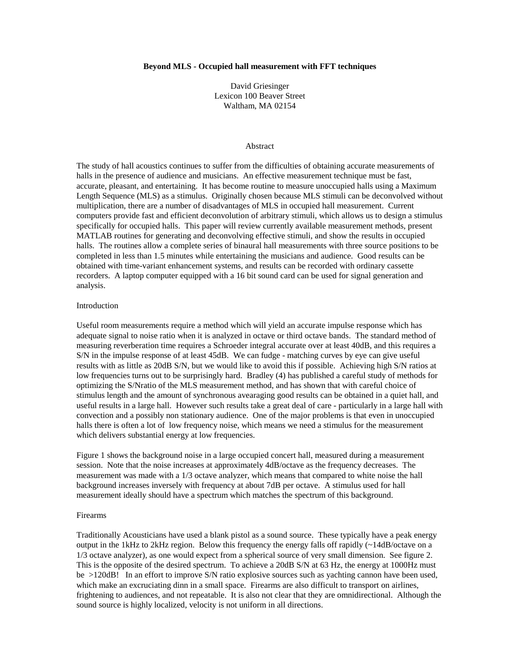#### **Beyond MLS - Occupied hall measurement with FFT techniques**

David Griesinger Lexicon 100 Beaver Street Waltham, MA 02154

#### Abstract

The study of hall acoustics continues to suffer from the difficulties of obtaining accurate measurements of halls in the presence of audience and musicians. An effective measurement technique must be fast, accurate, pleasant, and entertaining. It has become routine to measure unoccupied halls using a Maximum Length Sequence (MLS) as a stimulus. Originally chosen because MLS stimuli can be deconvolved without multiplication, there are a number of disadvantages of MLS in occupied hall measurement. Current computers provide fast and efficient deconvolution of arbitrary stimuli, which allows us to design a stimulus specifically for occupied halls. This paper will review currently available measurement methods, present MATLAB routines for generating and deconvolving effective stimuli, and show the results in occupied halls. The routines allow a complete series of binaural hall measurements with three source positions to be completed in less than 1.5 minutes while entertaining the musicians and audience. Good results can be obtained with time-variant enhancement systems, and results can be recorded with ordinary cassette recorders. A laptop computer equipped with a 16 bit sound card can be used for signal generation and analysis.

### Introduction

Useful room measurements require a method which will yield an accurate impulse response which has adequate signal to noise ratio when it is analyzed in octave or third octave bands. The standard method of measuring reverberation time requires a Schroeder integral accurate over at least 40dB, and this requires a S/N in the impulse response of at least 45dB. We can fudge - matching curves by eye can give useful results with as little as 20dB S/N, but we would like to avoid this if possible. Achieving high S/N ratios at low frequencies turns out to be surprisingly hard. Bradley (4) has published a careful study of methods for optimizing the S/Nratio of the MLS measurement method, and has shown that with careful choice of stimulus length and the amount of synchronous avearaging good results can be obtained in a quiet hall, and useful results in a large hall. However such results take a great deal of care - particularly in a large hall with convection and a possibly non stationary audience. One of the major problems is that even in unoccupied halls there is often a lot of low frequency noise, which means we need a stimulus for the measurement which delivers substantial energy at low frequencies.

Figure 1 shows the background noise in a large occupied concert hall, measured during a measurement session. Note that the noise increases at approximately 4dB/octave as the frequency decreases. The measurement was made with a 1/3 octave analyzer, which means that compared to white noise the hall background increases inversely with frequency at about 7dB per octave. A stimulus used for hall measurement ideally should have a spectrum which matches the spectrum of this background.

#### Firearms

Traditionally Acousticians have used a blank pistol as a sound source. These typically have a peak energy output in the 1kHz to 2kHz region. Below this frequency the energy falls off rapidly (~14dB/octave on a 1/3 octave analyzer), as one would expect from a spherical source of very small dimension. See figure 2. This is the opposite of the desired spectrum. To achieve a 20dB S/N at 63 Hz, the energy at 1000Hz must be >120dB! In an effort to improve S/N ratio explosive sources such as yachting cannon have been used, which make an excruciating dinn in a small space. Firearms are also difficult to transport on airlines, frightening to audiences, and not repeatable. It is also not clear that they are omnidirectional. Although the sound source is highly localized, velocity is not uniform in all directions.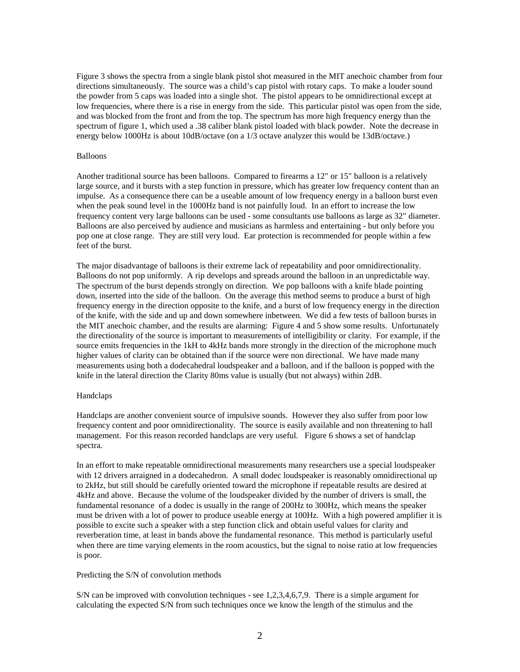Figure 3 shows the spectra from a single blank pistol shot measured in the MIT anechoic chamber from four directions simultaneously. The source was a child's cap pistol with rotary caps. To make a louder sound the powder from 5 caps was loaded into a single shot. The pistol appears to be omnidirectional except at low frequencies, where there is a rise in energy from the side. This particular pistol was open from the side, and was blocked from the front and from the top. The spectrum has more high frequency energy than the spectrum of figure 1, which used a .38 caliber blank pistol loaded with black powder. Note the decrease in energy below 1000Hz is about 10dB/octave (on a 1/3 octave analyzer this would be 13dB/octave.)

### Balloons

Another traditional source has been balloons. Compared to firearms a 12" or 15" balloon is a relatively large source, and it bursts with a step function in pressure, which has greater low frequency content than an impulse. As a consequence there can be a useable amount of low frequency energy in a balloon burst even when the peak sound level in the 1000Hz band is not painfully loud. In an effort to increase the low frequency content very large balloons can be used - some consultants use balloons as large as 32" diameter. Balloons are also perceived by audience and musicians as harmless and entertaining - but only before you pop one at close range. They are still very loud. Ear protection is recommended for people within a few feet of the burst.

The major disadvantage of balloons is their extreme lack of repeatability and poor omnidirectionality. Balloons do not pop uniformly. A rip develops and spreads around the balloon in an unpredictable way. The spectrum of the burst depends strongly on direction. We pop balloons with a knife blade pointing down, inserted into the side of the balloon. On the average this method seems to produce a burst of high frequency energy in the direction opposite to the knife, and a burst of low frequency energy in the direction of the knife, with the side and up and down somewhere inbetween. We did a few tests of balloon bursts in the MIT anechoic chamber, and the results are alarming: Figure 4 and 5 show some results. Unfortunately the directionality of the source is important to measurements of intelligibility or clarity. For example, if the source emits frequencies in the 1kH to 4kHz bands more strongly in the direction of the microphone much higher values of clarity can be obtained than if the source were non directional. We have made many measurements using both a dodecahedral loudspeaker and a balloon, and if the balloon is popped with the knife in the lateral direction the Clarity 80ms value is usually (but not always) within 2dB.

### Handclaps

Handclaps are another convenient source of impulsive sounds. However they also suffer from poor low frequency content and poor omnidirectionality. The source is easily available and non threatening to hall management. For this reason recorded handclaps are very useful. Figure 6 shows a set of handclap spectra.

In an effort to make repeatable omnidirectional measurements many researchers use a special loudspeaker with 12 drivers arraigned in a dodecahedron. A small dodec loudspeaker is reasonably omnidirectional up to 2kHz, but still should be carefully oriented toward the microphone if repeatable results are desired at 4kHz and above. Because the volume of the loudspeaker divided by the number of drivers is small, the fundamental resonance of a dodec is usually in the range of 200Hz to 300Hz, which means the speaker must be driven with a lot of power to produce useable energy at 100Hz. With a high powered amplifier it is possible to excite such a speaker with a step function click and obtain useful values for clarity and reverberation time, at least in bands above the fundamental resonance. This method is particularly useful when there are time varying elements in the room acoustics, but the signal to noise ratio at low frequencies is poor.

### Predicting the S/N of convolution methods

S/N can be improved with convolution techniques - see 1,2,3,4,6,7,9. There is a simple argument for calculating the expected S/N from such techniques once we know the length of the stimulus and the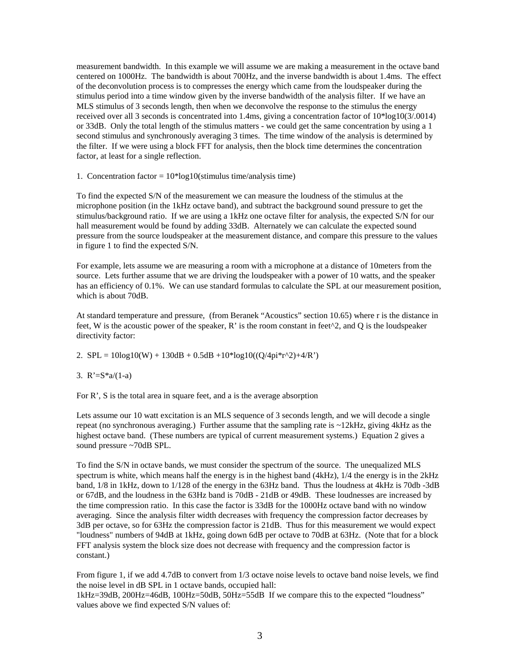measurement bandwidth. In this example we will assume we are making a measurement in the octave band centered on 1000Hz. The bandwidth is about 700Hz, and the inverse bandwidth is about 1.4ms. The effect of the deconvolution process is to compresses the energy which came from the loudspeaker during the stimulus period into a time window given by the inverse bandwidth of the analysis filter. If we have an MLS stimulus of 3 seconds length, then when we deconvolve the response to the stimulus the energy received over all 3 seconds is concentrated into 1.4ms, giving a concentration factor of 10\*log10(3/.0014) or 33dB. Only the total length of the stimulus matters - we could get the same concentration by using a 1 second stimulus and synchronously averaging 3 times. The time window of the analysis is determined by the filter. If we were using a block FFT for analysis, then the block time determines the concentration factor, at least for a single reflection.

1. Concentration factor =  $10*log10$ (stimulus time/analysis time)

To find the expected S/N of the measurement we can measure the loudness of the stimulus at the microphone position (in the 1kHz octave band), and subtract the background sound pressure to get the stimulus/background ratio. If we are using a 1kHz one octave filter for analysis, the expected S/N for our hall measurement would be found by adding 33dB. Alternately we can calculate the expected sound pressure from the source loudspeaker at the measurement distance, and compare this pressure to the values in figure 1 to find the expected S/N.

For example, lets assume we are measuring a room with a microphone at a distance of 10meters from the source. Lets further assume that we are driving the loudspeaker with a power of 10 watts, and the speaker has an efficiency of 0.1%. We can use standard formulas to calculate the SPL at our measurement position, which is about 70dB.

At standard temperature and pressure, (from Beranek "Acoustics" section 10.65) where r is the distance in feet, W is the acoustic power of the speaker, R' is the room constant in feet $\wedge$ 2, and Q is the loudspeaker directivity factor:

2.  $SPL = 10log10(W) + 130dB + 0.5dB + 10*log10((Q/4pi*r^2) + 4/R')$ 

3.  $R' = S^*a/(1-a)$ 

For R', S is the total area in square feet, and a is the average absorption

Lets assume our 10 watt excitation is an MLS sequence of 3 seconds length, and we will decode a single repeat (no synchronous averaging.) Further assume that the sampling rate is ~12kHz, giving 4kHz as the highest octave band. (These numbers are typical of current measurement systems.) Equation 2 gives a sound pressure ~70dB SPL.

To find the S/N in octave bands, we must consider the spectrum of the source. The unequalized MLS spectrum is white, which means half the energy is in the highest band (4kHz), 1/4 the energy is in the 2kHz band, 1/8 in 1kHz, down to 1/128 of the energy in the 63Hz band. Thus the loudness at 4kHz is 70db -3dB or 67dB, and the loudness in the 63Hz band is 70dB - 21dB or 49dB. These loudnesses are increased by the time compression ratio. In this case the factor is 33dB for the 1000Hz octave band with no window averaging. Since the analysis filter width decreases with frequency the compression factor decreases by 3dB per octave, so for 63Hz the compression factor is 21dB. Thus for this measurement we would expect "loudness" numbers of 94dB at 1kHz, going down 6dB per octave to 70dB at 63Hz. (Note that for a block FFT analysis system the block size does not decrease with frequency and the compression factor is constant.)

From figure 1, if we add 4.7dB to convert from 1/3 octave noise levels to octave band noise levels, we find the noise level in dB SPL in 1 octave bands, occupied hall:

1kHz=39dB, 200Hz=46dB, 100Hz=50dB, 50Hz=55dB If we compare this to the expected "loudness" values above we find expected S/N values of: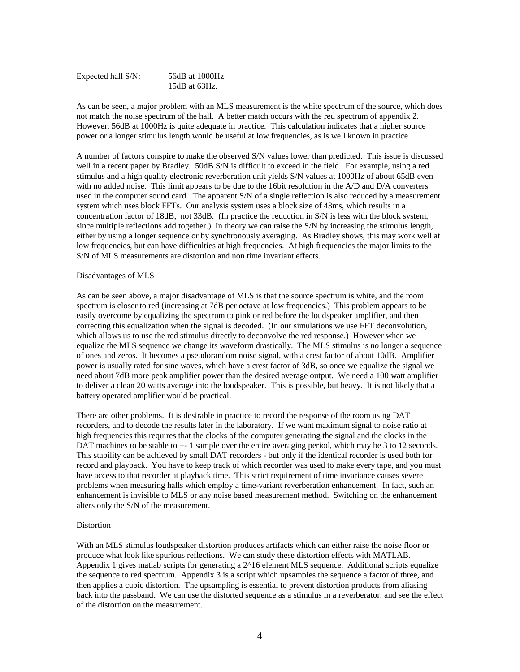| Expected hall S/N: | 56dB at 1000Hz   |
|--------------------|------------------|
|                    | 15 $dB$ at 63Hz. |

As can be seen, a major problem with an MLS measurement is the white spectrum of the source, which does not match the noise spectrum of the hall. A better match occurs with the red spectrum of appendix 2. However, 56dB at 1000Hz is quite adequate in practice. This calculation indicates that a higher source power or a longer stimulus length would be useful at low frequencies, as is well known in practice.

A number of factors conspire to make the observed S/N values lower than predicted. This issue is discussed well in a recent paper by Bradley. 50dB S/N is difficult to exceed in the field. For example, using a red stimulus and a high quality electronic reverberation unit yields S/N values at 1000Hz of about 65dB even with no added noise. This limit appears to be due to the 16bit resolution in the A/D and D/A converters used in the computer sound card. The apparent S/N of a single reflection is also reduced by a measurement system which uses block FFTs. Our analysis system uses a block size of 43ms, which results in a concentration factor of 18dB, not 33dB. (In practice the reduction in S/N is less with the block system, since multiple reflections add together.) In theory we can raise the S/N by increasing the stimulus length, either by using a longer sequence or by synchronously averaging. As Bradley shows, this may work well at low frequencies, but can have difficulties at high frequencies. At high frequencies the major limits to the S/N of MLS measurements are distortion and non time invariant effects.

# Disadvantages of MLS

As can be seen above, a major disadvantage of MLS is that the source spectrum is white, and the room spectrum is closer to red (increasing at 7dB per octave at low frequencies.) This problem appears to be easily overcome by equalizing the spectrum to pink or red before the loudspeaker amplifier, and then correcting this equalization when the signal is decoded. (In our simulations we use FFT deconvolution, which allows us to use the red stimulus directly to deconvolve the red response.) However when we equalize the MLS sequence we change its waveform drastically. The MLS stimulus is no longer a sequence of ones and zeros. It becomes a pseudorandom noise signal, with a crest factor of about 10dB. Amplifier power is usually rated for sine waves, which have a crest factor of 3dB, so once we equalize the signal we need about 7dB more peak amplifier power than the desired average output. We need a 100 watt amplifier to deliver a clean 20 watts average into the loudspeaker. This is possible, but heavy. It is not likely that a battery operated amplifier would be practical.

There are other problems. It is desirable in practice to record the response of the room using DAT recorders, and to decode the results later in the laboratory. If we want maximum signal to noise ratio at high frequencies this requires that the clocks of the computer generating the signal and the clocks in the DAT machines to be stable to  $+1$  sample over the entire averaging period, which may be 3 to 12 seconds. This stability can be achieved by small DAT recorders - but only if the identical recorder is used both for record and playback. You have to keep track of which recorder was used to make every tape, and you must have access to that recorder at playback time. This strict requirement of time invariance causes severe problems when measuring halls which employ a time-variant reverberation enhancement. In fact, such an enhancement is invisible to MLS or any noise based measurement method. Switching on the enhancement alters only the S/N of the measurement.

### **Distortion**

With an MLS stimulus loudspeaker distortion produces artifacts which can either raise the noise floor or produce what look like spurious reflections. We can study these distortion effects with MATLAB. Appendix 1 gives matlab scripts for generating a 2^16 element MLS sequence. Additional scripts equalize the sequence to red spectrum. Appendix 3 is a script which upsamples the sequence a factor of three, and then applies a cubic distortion. The upsampling is essential to prevent distortion products from aliasing back into the passband. We can use the distorted sequence as a stimulus in a reverberator, and see the effect of the distortion on the measurement.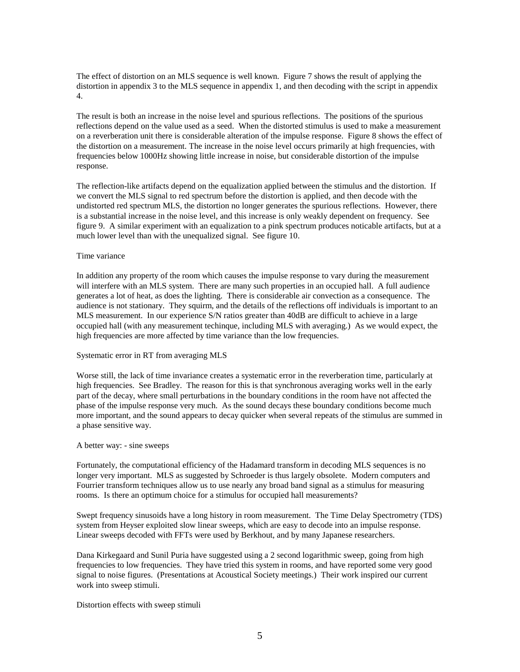The effect of distortion on an MLS sequence is well known. Figure 7 shows the result of applying the distortion in appendix 3 to the MLS sequence in appendix 1, and then decoding with the script in appendix 4.

The result is both an increase in the noise level and spurious reflections. The positions of the spurious reflections depend on the value used as a seed. When the distorted stimulus is used to make a measurement on a reverberation unit there is considerable alteration of the impulse response. Figure 8 shows the effect of the distortion on a measurement. The increase in the noise level occurs primarily at high frequencies, with frequencies below 1000Hz showing little increase in noise, but considerable distortion of the impulse response.

The reflection-like artifacts depend on the equalization applied between the stimulus and the distortion. If we convert the MLS signal to red spectrum before the distortion is applied, and then decode with the undistorted red spectrum MLS, the distortion no longer generates the spurious reflections. However, there is a substantial increase in the noise level, and this increase is only weakly dependent on frequency. See figure 9. A similar experiment with an equalization to a pink spectrum produces noticable artifacts, but at a much lower level than with the unequalized signal. See figure 10.

### Time variance

In addition any property of the room which causes the impulse response to vary during the measurement will interfere with an MLS system. There are many such properties in an occupied hall. A full audience generates a lot of heat, as does the lighting. There is considerable air convection as a consequence. The audience is not stationary. They squirm, and the details of the reflections off individuals is important to an MLS measurement. In our experience S/N ratios greater than 40dB are difficult to achieve in a large occupied hall (with any measurement techinque, including MLS with averaging.) As we would expect, the high frequencies are more affected by time variance than the low frequencies.

# Systematic error in RT from averaging MLS

Worse still, the lack of time invariance creates a systematic error in the reverberation time, particularly at high frequencies. See Bradley. The reason for this is that synchronous averaging works well in the early part of the decay, where small perturbations in the boundary conditions in the room have not affected the phase of the impulse response very much. As the sound decays these boundary conditions become much more important, and the sound appears to decay quicker when several repeats of the stimulus are summed in a phase sensitive way.

### A better way: - sine sweeps

Fortunately, the computational efficiency of the Hadamard transform in decoding MLS sequences is no longer very important. MLS as suggested by Schroeder is thus largely obsolete. Modern computers and Fourrier transform techniques allow us to use nearly any broad band signal as a stimulus for measuring rooms. Is there an optimum choice for a stimulus for occupied hall measurements?

Swept frequency sinusoids have a long history in room measurement. The Time Delay Spectrometry (TDS) system from Heyser exploited slow linear sweeps, which are easy to decode into an impulse response. Linear sweeps decoded with FFTs were used by Berkhout, and by many Japanese researchers.

Dana Kirkegaard and Sunil Puria have suggested using a 2 second logarithmic sweep, going from high frequencies to low frequencies. They have tried this system in rooms, and have reported some very good signal to noise figures. (Presentations at Acoustical Society meetings.) Their work inspired our current work into sweep stimuli.

Distortion effects with sweep stimuli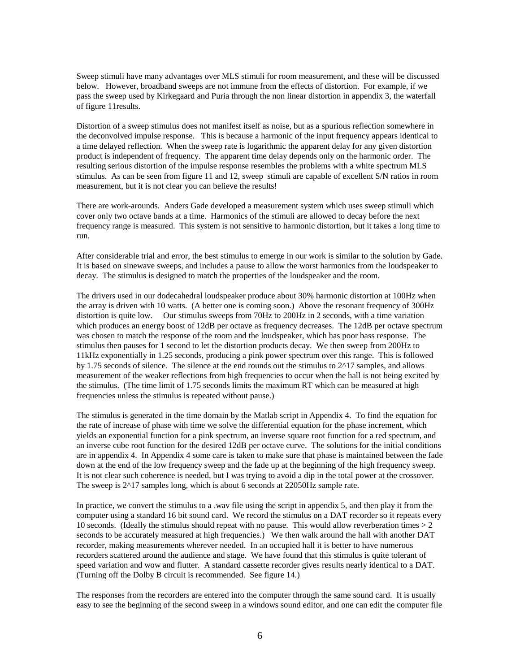Sweep stimuli have many advantages over MLS stimuli for room measurement, and these will be discussed below. However, broadband sweeps are not immune from the effects of distortion. For example, if we pass the sweep used by Kirkegaard and Puria through the non linear distortion in appendix 3, the waterfall of figure 11results.

Distortion of a sweep stimulus does not manifest itself as noise, but as a spurious reflection somewhere in the deconvolved impulse response. This is because a harmonic of the input frequency appears identical to a time delayed reflection. When the sweep rate is logarithmic the apparent delay for any given distortion product is independent of frequency. The apparent time delay depends only on the harmonic order. The resulting serious distortion of the impulse response resembles the problems with a white spectrum MLS stimulus. As can be seen from figure 11 and 12, sweep stimuli are capable of excellent S/N ratios in room measurement, but it is not clear you can believe the results!

There are work-arounds. Anders Gade developed a measurement system which uses sweep stimuli which cover only two octave bands at a time. Harmonics of the stimuli are allowed to decay before the next frequency range is measured. This system is not sensitive to harmonic distortion, but it takes a long time to run.

After considerable trial and error, the best stimulus to emerge in our work is similar to the solution by Gade. It is based on sinewave sweeps, and includes a pause to allow the worst harmonics from the loudspeaker to decay. The stimulus is designed to match the properties of the loudspeaker and the room.

The drivers used in our dodecahedral loudspeaker produce about 30% harmonic distortion at 100Hz when the array is driven with 10 watts. (A better one is coming soon.) Above the resonant frequency of 300Hz distortion is quite low. Our stimulus sweeps from 70Hz to 200Hz in 2 seconds, with a time variation which produces an energy boost of 12dB per octave as frequency decreases. The 12dB per octave spectrum was chosen to match the response of the room and the loudspeaker, which has poor bass response. The stimulus then pauses for 1 second to let the distortion products decay. We then sweep from 200Hz to 11kHz exponentially in 1.25 seconds, producing a pink power spectrum over this range. This is followed by 1.75 seconds of silence. The silence at the end rounds out the stimulus to 2^17 samples, and allows measurement of the weaker reflections from high frequencies to occur when the hall is not being excited by the stimulus. (The time limit of 1.75 seconds limits the maximum RT which can be measured at high frequencies unless the stimulus is repeated without pause.)

The stimulus is generated in the time domain by the Matlab script in Appendix 4. To find the equation for the rate of increase of phase with time we solve the differential equation for the phase increment, which yields an exponential function for a pink spectrum, an inverse square root function for a red spectrum, and an inverse cube root function for the desired 12dB per octave curve. The solutions for the initial conditions are in appendix 4. In Appendix 4 some care is taken to make sure that phase is maintained between the fade down at the end of the low frequency sweep and the fade up at the beginning of the high frequency sweep. It is not clear such coherence is needed, but I was trying to avoid a dip in the total power at the crossover. The sweep is  $2^{\wedge}17$  samples long, which is about 6 seconds at 22050Hz sample rate.

In practice, we convert the stimulus to a .wav file using the script in appendix 5, and then play it from the computer using a standard 16 bit sound card. We record the stimulus on a DAT recorder so it repeats every 10 seconds. (Ideally the stimulus should repeat with no pause. This would allow reverberation times > 2 seconds to be accurately measured at high frequencies.) We then walk around the hall with another DAT recorder, making measurements wherever needed. In an occupied hall it is better to have numerous recorders scattered around the audience and stage. We have found that this stimulus is quite tolerant of speed variation and wow and flutter. A standard cassette recorder gives results nearly identical to a DAT. (Turning off the Dolby B circuit is recommended. See figure 14.)

The responses from the recorders are entered into the computer through the same sound card. It is usually easy to see the beginning of the second sweep in a windows sound editor, and one can edit the computer file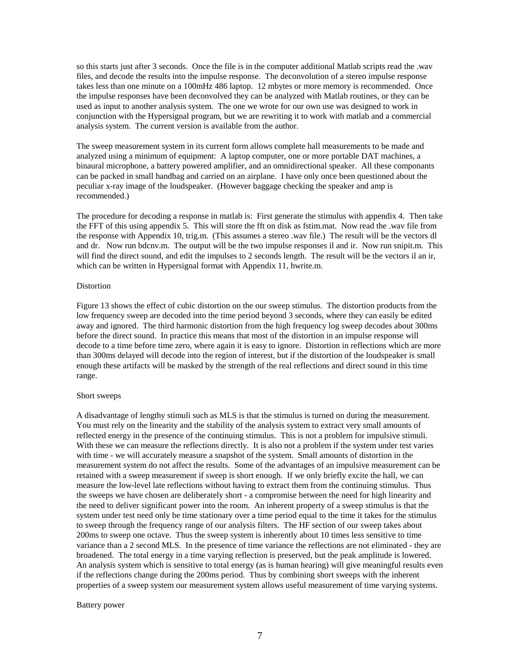so this starts just after 3 seconds. Once the file is in the computer additional Matlab scripts read the .wav files, and decode the results into the impulse response. The deconvolution of a stereo impulse response takes less than one minute on a 100mHz 486 laptop. 12 mbytes or more memory is recommended. Once the impulse responses have been deconvolved they can be analyzed with Matlab routines, or they can be used as input to another analysis system. The one we wrote for our own use was designed to work in conjunction with the Hypersignal program, but we are rewriting it to work with matlab and a commercial analysis system. The current version is available from the author.

The sweep measurement system in its current form allows complete hall measurements to be made and analyzed using a minimum of equipment: A laptop computer, one or more portable DAT machines, a binaural microphone, a battery powered amplifier, and an omnidirectional speaker. All these componants can be packed in small handbag and carried on an airplane. I have only once been questioned about the peculiar x-ray image of the loudspeaker. (However baggage checking the speaker and amp is recommended.)

The procedure for decoding a response in matlab is: First generate the stimulus with appendix 4. Then take the FFT of this using appendix 5. This will store the fft on disk as fstim.mat. Now read the .wav file from the response with Appendix 10, trig.m. (This assumes a stereo .wav file.) The result will be the vectors dl and dr. Now run bdcnv.m. The output will be the two impulse responses il and ir. Now run snipit.m. This will find the direct sound, and edit the impulses to 2 seconds length. The result will be the vectors il an ir, which can be written in Hypersignal format with Appendix 11, hwrite.m.

## **Distortion**

Figure 13 shows the effect of cubic distortion on the our sweep stimulus. The distortion products from the low frequency sweep are decoded into the time period beyond 3 seconds, where they can easily be edited away and ignored. The third harmonic distortion from the high frequency log sweep decodes about 300ms before the direct sound. In practice this means that most of the distortion in an impulse response will decode to a time before time zero, where again it is easy to ignore. Distortion in reflections which are more than 300ms delayed will decode into the region of interest, but if the distortion of the loudspeaker is small enough these artifacts will be masked by the strength of the real reflections and direct sound in this time range.

### Short sweeps

A disadvantage of lengthy stimuli such as MLS is that the stimulus is turned on during the measurement. You must rely on the linearity and the stability of the analysis system to extract very small amounts of reflected energy in the presence of the continuing stimulus. This is not a problem for impulsive stimuli. With these we can measure the reflections directly. It is also not a problem if the system under test varies with time - we will accurately measure a snapshot of the system. Small amounts of distortion in the measurement system do not affect the results. Some of the advantages of an impulsive measurement can be retained with a sweep measurement if sweep is short enough. If we only briefly excite the hall, we can measure the low-level late reflections without having to extract them from the continuing stimulus. Thus the sweeps we have chosen are deliberately short - a compromise between the need for high linearity and the need to deliver significant power into the room. An inherent property of a sweep stimulus is that the system under test need only be time stationary over a time period equal to the time it takes for the stimulus to sweep through the frequency range of our analysis filters. The HF section of our sweep takes about 200ms to sweep one octave. Thus the sweep system is inherently about 10 times less sensitive to time variance than a 2 second MLS. In the presence of time variance the reflections are not eliminated - they are broadened. The total energy in a time varying reflection is preserved, but the peak amplitude is lowered. An analysis system which is sensitive to total energy (as is human hearing) will give meaningful results even if the reflections change during the 200ms period. Thus by combining short sweeps with the inherent properties of a sweep system our measurement system allows useful measurement of time varying systems.

### Battery power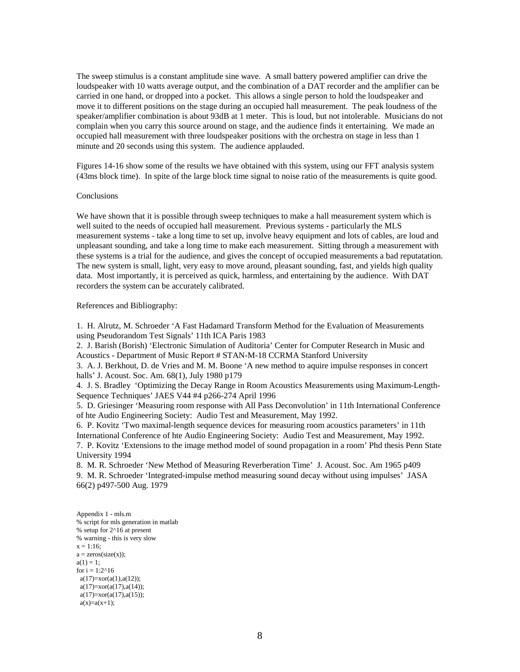The sweep stimulus is a constant amplitude sine wave. A small battery powered amplifier can drive the loudspeaker with 10 watts average output, and the combination of a DAT recorder and the amplifier can be carried in one hand, or dropped into a pocket. This allows a single person to hold the loudspeaker and move it to different positions on the stage during an occupied hall measurement. The peak loudness of the speaker/amplifier combination is about 93dB at 1 meter. This is loud, but not intolerable. Musicians do not complain when you carry this source around on stage, and the audience finds it entertaining. We made an occupied hall measurement with three loudspeaker positions with the orchestra on stage in less than 1 minute and 20 seconds using this system. The audience applauded.

Figures 14-16 show some of the results we have obtained with this system, using our FFT analysis system (43ms block time). In spite of the large block time signal to noise ratio of the measurements is quite good.

## Conclusions

We have shown that it is possible through sweep techniques to make a hall measurement system which is well suited to the needs of occupied hall measurement. Previous systems - particularly the MLS measurement systems - take a long time to set up, involve heavy equipment and lots of cables, are loud and unpleasant sounding, and take a long time to make each measurement. Sitting through a measurement with these systems is a trial for the audience, and gives the concept of occupied measurements a bad reputatation. The new system is small, light, very easy to move around, pleasant sounding, fast, and yields high quality data. Most importantly, it is perceived as quick, harmless, and entertaining by the audience. With DAT recorders the system can be accurately calibrated.

### References and Bibliography:

1. H. Alrutz, M. Schroeder 'A Fast Hadamard Transform Method for the Evaluation of Measurements using Pseudorandom Test Signals' 11th ICA Paris 1983

2. J. Barish (Borish) 'Electronic Simulation of Auditoria' Center for Computer Research in Music and Acoustics - Department of Music Report # STAN-M-18 CCRMA Stanford University

3. A. J. Berkhout, D. de Vries and M. M. Boone 'A new method to aquire impulse responses in concert halls' J. Acoust. Soc. Am. 68(1), July 1980 p179

4. J. S. Bradley 'Optimizing the Decay Range in Room Acoustics Measurements using Maximum-Length-Sequence Techniques' JAES V44 #4 p266-274 April 1996

5. D. Griesinger 'Measuring room response with All Pass Deconvolution' in 11th International Conference of hte Audio Engineering Society: Audio Test and Measurement, May 1992.

6. P. Kovitz 'Two maximal-length sequence devices for measuring room acoustics parameters' in 11th International Conference of hte Audio Engineering Society: Audio Test and Measurement, May 1992.

7. P. Kovitz 'Extensions to the image method model of sound propagation in a room' Phd thesis Penn State University 1994

8. M. R. Schroeder 'New Method of Measuring Reverberation Time' J. Acoust. Soc. Am 1965 p409 9. M. R. Schroeder 'Integrated-impulse method measuring sound decay without using impulses' JASA 66(2) p497-500 Aug. 1979

Appendix 1 - mls.m % script for mls generation in matlab % setup for 2^16 at present % warning - this is very slow  $x = 1:16$ ;  $a = zeros(size(x))$ ;  $a(1) = 1$ ; for  $i = 1:2^{\wedge}16$  $a(17)=x$ or( $a(1),a(12)$ );  $a(17)=x$ or( $a(17)$ , $a(14)$ );  $a(17)=x$ or( $a(17)$ , $a(15)$ );  $a(x)=a(x+1);$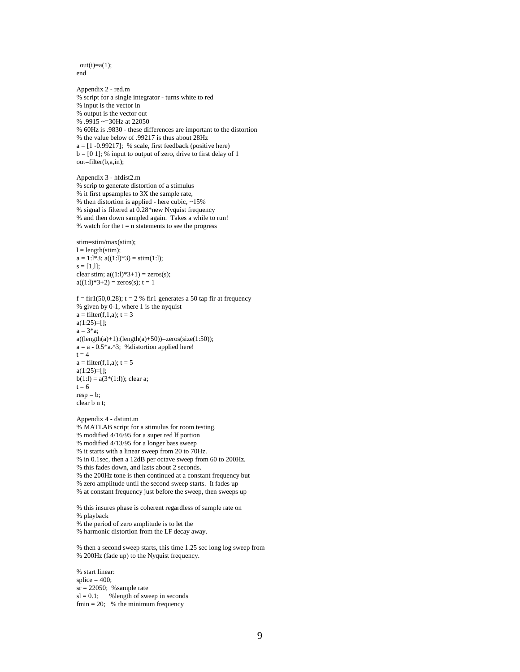$out(i)=a(1);$ end

Appendix 2 - red.m % script for a single integrator - turns white to red % input is the vector in % output is the vector out % .9915 ~=30Hz at 22050 % 60Hz is .9830 - these differences are important to the distortion % the value below of .99217 is thus about 28Hz  $a = [1 -0.99217]$ ; % scale, first feedback (positive here)  $b = [0 1]$ ; % input to output of zero, drive to first delay of 1 out=filter(b,a,in); Appendix 3 - hfdist2.m % scrip to generate distortion of a stimulus % it first upsamples to 3X the sample rate, % then distortion is applied - here cubic,  $\sim$ 15% % signal is filtered at 0.28\*new Nyquist frequency % and then down sampled again. Takes a while to run! % watch for the  $t = n$  statements to see the progress stim=stim/max(stim);  $l = length(stim);$  $a = 1:1*3$ ;  $a((1:1)*3) = \text{stim}(1:1)$ ;  $s = [1,1];$ clear stim;  $a((1:1)*3+1) = zeros(s);$  $a((1:1)*3+2) = zeros(s); t = 1$ f = fir1(50,0.28); t = 2 % fir1 generates a 50 tap fir at frequency % given by 0-1, where 1 is the nyquist  $a = filter(f, 1, a); t = 3$  $a(1:25)=[]$ ;  $a = 3 * a$ ;  $a((\text{length}(a)+1):(\text{length}(a)+50))$ =zeros(size(1:50));  $a = a - 0.5$ \*a.^3; % distortion applied here!  $t = 4$  $a = filter(f,1,a); t = 5$  $a(1:25)=$ [];  $b(1:1) = a(3*(1:1))$ ; clear a;  $t = 6$  $resp = b$ ; clear b n t; Appendix 4 - dstimt.m % MATLAB script for a stimulus for room testing. % modified 4/16/95 for a super red lf portion % modified 4/13/95 for a longer bass sweep % it starts with a linear sweep from 20 to 70Hz.

% in 0.1sec, then a 12dB per octave sweep from 60 to 200Hz.

% this fades down, and lasts about 2 seconds.

% the 200Hz tone is then continued at a constant frequency but

% zero amplitude until the second sweep starts. It fades up

% at constant frequency just before the sweep, then sweeps up

% this insures phase is coherent regardless of sample rate on % playback

% the period of zero amplitude is to let the

% harmonic distortion from the LF decay away.

% then a second sweep starts, this time 1.25 sec long log sweep from % 200Hz (fade up) to the Nyquist frequency.

% start linear:  $\text{splice} = 400$ ;  $sr = 22050$ ; %sample rate  $sl = 0.1$ ; % length of sweep in seconds fmin  $= 20$ ; % the minimum frequency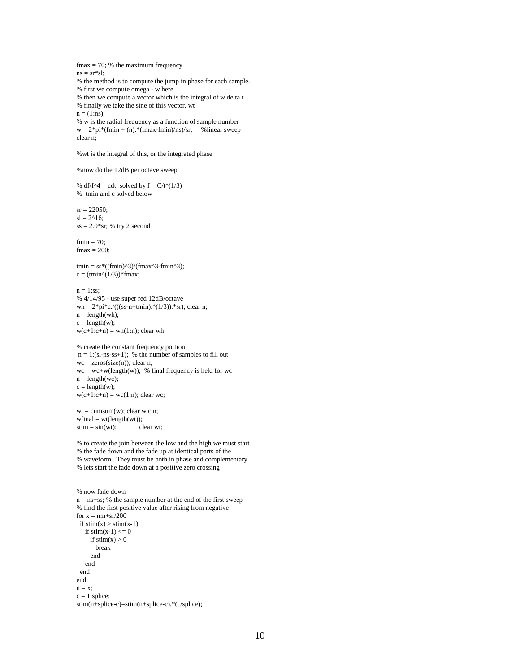$fmax = 70$ ; % the maximum frequency  $ns = sr * sl;$ % the method is to compute the jump in phase for each sample. % first we compute omega - w here % then we compute a vector which is the integral of w delta t % finally we take the sine of this vector, wt  $n = (1:ns);$ % w is the radial frequency as a function of sample number  $w = 2*pi*(fmin + (n).*(fmax-fmin)/ns)/sr;$  % linear sweep clear n; %wt is the integral of this, or the integrated phase %now do the 12dB per octave sweep % df/f^4 = cdt solved by  $f = C/t^(1/3)$ % tmin and c solved below  $sr = 22050;$  $sl = 2^{\wedge}16$ ;  $ss = 2.0$ \*sr; % try 2 second  $fmin = 70$ ;  $fmax = 200$ ; tmin =  $ss*((fmin)^3)/(fmax^3-fmin^3);$  $c = (tmin^{\wedge}(1/3))$ \*fmax;  $n = 1:ss;$ % 4/14/95 - use super red 12dB/octave wh =  $2*pi*c$ ./(((ss-n+tmin).^(1/3)).\*sr); clear n;  $n = length(wh);$  $c = length(w);$  $w(c+1:c+n) = wh(1:n)$ ; clear wh % create the constant frequency portion:  $n = 1$ :(sl-ns-ss+1); % the number of samples to fill out  $wc = zeros(size(n))$ ; clear n;  $wc = wc + w(\text{length}(w))$ ; % final frequency is held for wc  $n = length(wc);$  $c = length(w);$  $w(c+1:c+n) = wc(1:n)$ ; clear wc;  $wt = cumsum(w); clear w c n;$  $wfinal = wt(length(wt));$  $stim = sin(wt);$  clear wt; % to create the join between the low and the high we must start % the fade down and the fade up at identical parts of the % waveform. They must be both in phase and complementary % lets start the fade down at a positive zero crossing % now fade down n = ns+ss; % the sample number at the end of the first sweep % find the first positive value after rising from negative for  $x = n:n+sr/200$ if  $stim(x) > stim(x-1)$ if  $stim(x-1) \leq 0$ if  $stim(x) > 0$  break end end end end  $\mathbf{n}=\mathbf{x};$  $c = 1$ :splice; stim(n+splice-c)=stim(n+splice-c).\*(c/splice);

10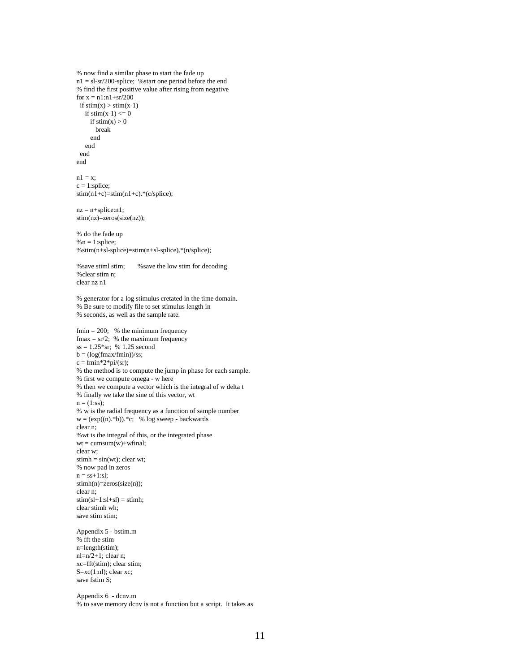```
% now find a similar phase to start the fade up
n1 = sl-sr/200-splice; %start one period before the end
% find the first positive value after rising from negative
for x = n1:n1+sr/200if stim(x) > stim(x-1)if stim(x-1) \leq 0if stim(x) > 0 break
      end
   end
 end
end
n1 = x:
c = 1:splice;
stim(n1+c)=stim(n1+c).*(c/splace);nz = n+splice:n1;stim(nz)=zeros(size(nz));
% do the fade up
% n = 1:splice;
%stim(n+sl-splice)=stim(n+sl-splice).*(n/splice);
%save stiml stim; %save the low stim for decoding
%clear stim n;
clear nz n1
% generator for a log stimulus cretated in the time domain.
% Be sure to modify file to set stimulus length in
% seconds, as well as the sample rate.
fmin = 200; % the minimum frequency
fmax = sr/2; % the maximum frequency
ss = 1.25*sr; % 1.25 second
b = (log(fmax/fnin))/ss;c = fmin*2*pi/(sr);% the method is to compute the jump in phase for each sample.
% first we compute omega - w here
% then we compute a vector which is the integral of w delta t
% finally we take the sine of this vector, wt
n = (1:ss);% w is the radial frequency as a function of sample number
w = (exp((n).*)e).*c; % log sweep - backwards
clear n;
%wt is the integral of this, or the integrated phase
wt = cumsum(w)+wfinal;clear w;
stimh = sin(wt); clear wt;
% now pad in zeros
n = ss+1:sl;stimh(n)=zeros(size(n));
clear n;
stim(sl+1:s1+s]) = stimh;clear stimh wh;
save stim stim:
Appendix 5 - bstim.m
% fft the stim
n=length(stim);
nl=n/2+1; clear n;
xc=fft(stim); clear stim;
S=xc(1:nl); clear xc;
save fstim S;
Appendix 6 - dcnv.m
% to save memory dcnv is not a function but a script. It takes as
```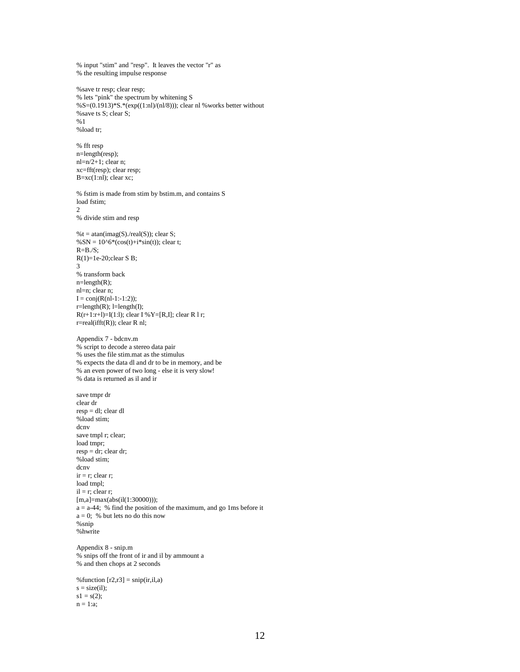% input "stim" and "resp". It leaves the vector "r" as % the resulting impulse response

%save tr resp; clear resp; % lets "pink" the spectrum by whitening S %S=(0.1913)\*S.\*(exp((1:nl)/(nl/8))); clear nl %works better without %save ts S; clear S; %1 %load tr;

% fft resp n=length(resp);  $nl=n/2+1$ ; clear n; xc=fft(resp); clear resp;  $B=xc(1:n!)$ ; clear xc;

% fstim is made from stim by bstim.m, and contains S load fstim; 2 % divide stim and resp

 $%t = \text{atan}(imag(S)/\text{real}(S))$ ; clear S;  $% SN = 10^{6*}(cos(t)+i*sin(t));$  clear t;  $R = B./S$ ;  $R(1)=1e-20;$ clear S B; 3 % transform back  $n = length(R)$ ; nl=n; clear n;  $I = conj(R(nl-1:-1:2));$  $r = length(R);$   $l = length(I);$  $R(r+1:r+1)=I(1:1);$  clear I % Y=[R,I]; clear R 1 r; r=real(ifft(R)); clear R nl;

Appendix 7 - bdcnv.m % script to decode a stereo data pair % uses the file stim.mat as the stimulus % expects the data dl and dr to be in memory, and be % an even power of two long - else it is very slow! % data is returned as il and ir

save tmpr dr clear dr resp = dl; clear dl %load stim; dcnv save tmpl r; clear; load tmpr;  $resp = dr; clear dr;$ %load stim; dcnv  $ir = r$ ; clear r; load tmpl;  $il = r$ ; clear r; [m,a]=max(abs(il(1:30000)));  $a = a-44$ ; % find the position of the maximum, and go 1ms before it  $a = 0$ ; % but lets no do this now %snip %hwrite Appendix 8 - snip.m

% snips off the front of ir and il by ammount a % and then chops at 2 seconds

% function  $[r2,r3] = \text{snip}(ir,i1,a)$  $s = size(i),$  $s1 = s(2)$ ;  $n = 1:a;$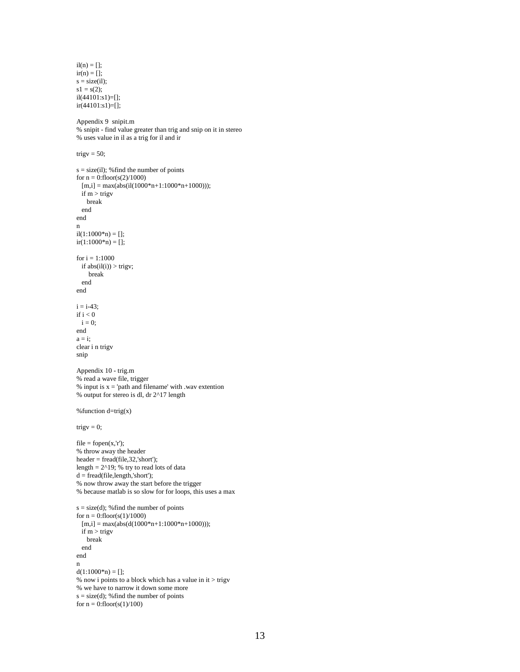```
il(n) = [];
ir(n) = [];
s = size(i);
s1 = s(2);il(44101:s1)=[];
ir(44101:s1)=[];
Appendix 9 snipit.m
% snipit - find value greater than trig and snip on it in stereo
% uses value in il as a trig for il and ir
trigv = 50;
s = size(il); % find the number of points
for n = 0:floor(s(2)/1000)
 [m,i] = max(abs(il(1000*n+1:1000*n+1000)));if m > trigy
    break
  end
end
n
il(1:1000*n) = [];ir(1:1000*n) = [];for i = 1:1000if abs(il(i)) > trigv; break
   end
end
i = i - 43;if i < 0i = 0;end
a = i;
clear i n trigv
snip
Appendix 10 - trig.m
% read a wave file, trigger
% input is x ='path and filename' with .wav extention
% output for stereo is dl, dr 2^17 length
% function d=trig(x)trigv = 0;
file = fopen(x, 'r');% throw away the header
header = \frac{freq(file, 32, 'short')}{.}length = 2^{19}; % try to read lots of data
d = fread(file,length,'short');
% now throw away the start before the trigger
% because matlab is so slow for for loops, this uses a max
s = size(d); % find the number of points
for n = 0:floor(s(1)/1000)
  [m,i] = max(abs(d(1000*n+1:1000*n+1000)));if m > trigy
    break
  end
end
n
d(1:1000*n) = [;
% now i points to a block which has a value in it > trigv
% we have to narrow it down some more
s = size(d); % find the number of points
for n = 0:floor(s(1)/100)
```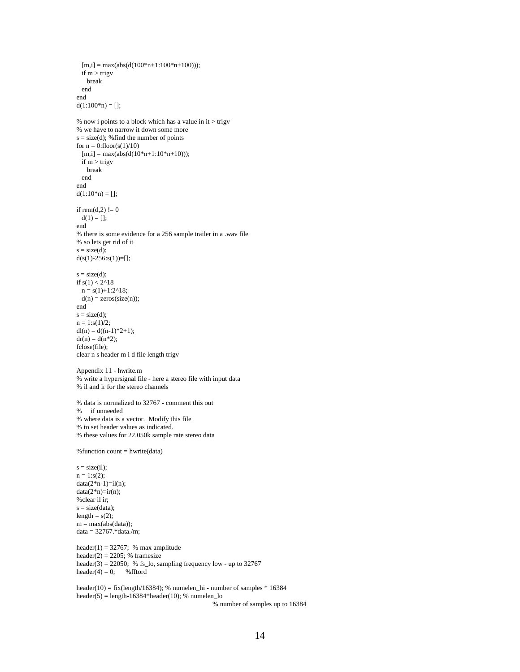```
[m,i] = max(abs(d(100*n+1:100*n+100))); if m > trigv
    break
  end
end
d(1:100*n) = [];
% now i points to a block which has a value in it > trigv
% we have to narrow it down some more
s = size(d); % find the number of points
for n = 0:floor(s(1)/10)
 [m,i] = max(abs(d(10*n+1:10*n+10)));
 if m > trigy
    break
  end
end
d(1:10*n) = \Boxif rem(d,2)!= 0
 d(1) = [;
end
% there is some evidence for a 256 sample trailer in a .wav file
% so lets get rid of it
s = size(d);d(s(1)-256:s(1))=[];
s = size(d);if s(1) < 2^{\land}18n = s(1)+1:2^{n}18;d(n) = zeros(size(n));end
s = size(d);n = 1:s(1)/2;
dl(n) = d((n-1)*2+1);dr(n) = d(n*2);fclose(file);
clear n s header m i d file length trigv
Appendix 11 - hwrite.m
% write a hypersignal file - here a stereo file with input data
% il and ir for the stereo channels
% data is normalized to 32767 - comment this out
% if unneeded
% where data is a vector. Modify this file
% to set header values as indicated.
% these values for 22.050k sample rate stereo data
%function count = hwrite(data)
s = size(i),n = 1: s(2);data(2*n-1)=il(n);data(2*n)=ir(n);%clear il ir;
s = size(data);length = s(2);
m = max(abs(data));data = 32767.*data./m;
header(1) = 32767; % max amplitude
header(2) = 2205; % framesize
header(3) = 22050; % fs_lo, sampling frequency low - up to 32767
header(4) = 0; % fftord
header(10) = fix(length/16384); % numelen_hi - number of samples * 16384
header(5) = length-16384*header(10); % numelen lo
```
% number of samples up to 16384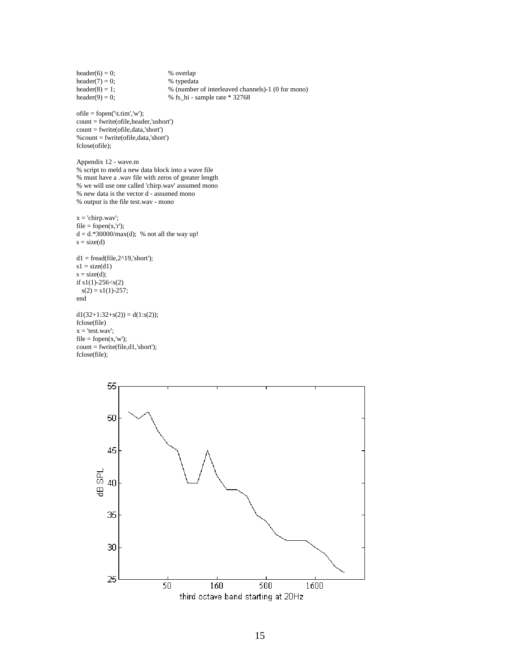```
header(6) = 0; <br>
\% overlap<br>
header(7) = 0; <br>
\% typedata
header(7) = 0;
header(8) = 1; % (number of interleaved channels)-1 (0 for mono)<br>header(9) = 0; % fs_hi - sample rate * 32768
                                    \%fs_hi - sample rate * 32768
ofile = fopen('\t.tim','w');
count = fwrite(ofile,header,'ushort')
count = fwrite(ofile,data,'short')
%count = fwrite(ofile,data,'short')
fclose(ofile);
Appendix 12 - wave.m
% script to meld a new data block into a wave file
% must have a .wav file with zeros of greater length
% we will use one called 'chirp.wav' assumed mono
% new data is the vector d - assumed mono
% output is the file test.wav - mono
x = 'chirp.wav';file = fopen(x, 'r');d = d.*30000/max(d); % not all the way up!
s = size(d)d1 = \text{fread}(\text{file}, 2^{\land}19, \text{'short'});s1 = size(d1)s = size(d);if s1(1) - 256 < s(2)s(2) = s1(1)-257;end
d1(32+1:32+s(2)) = d(1:s(2));fclose(file)
x = 'test.wav';file = fopen(x, 'w');count =fwrite(file,d1,'short');
fclose(file);
```
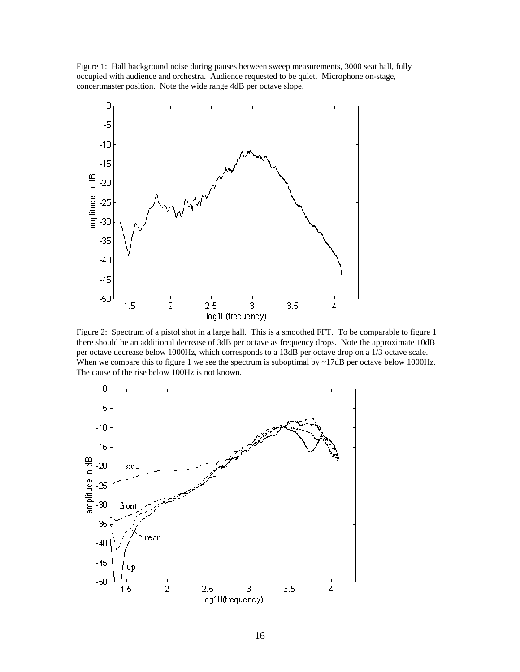Figure 1: Hall background noise during pauses between sweep measurements, 3000 seat hall, fully occupied with audience and orchestra. Audience requested to be quiet. Microphone on-stage, concertmaster position. Note the wide range 4dB per octave slope.



Figure 2: Spectrum of a pistol shot in a large hall. This is a smoothed FFT. To be comparable to figure 1 there should be an additional decrease of 3dB per octave as frequency drops. Note the approximate 10dB per octave decrease below 1000Hz, which corresponds to a 13dB per octave drop on a 1/3 octave scale. When we compare this to figure 1 we see the spectrum is suboptimal by  $\sim$ 17dB per octave below 1000Hz. The cause of the rise below 100Hz is not known.

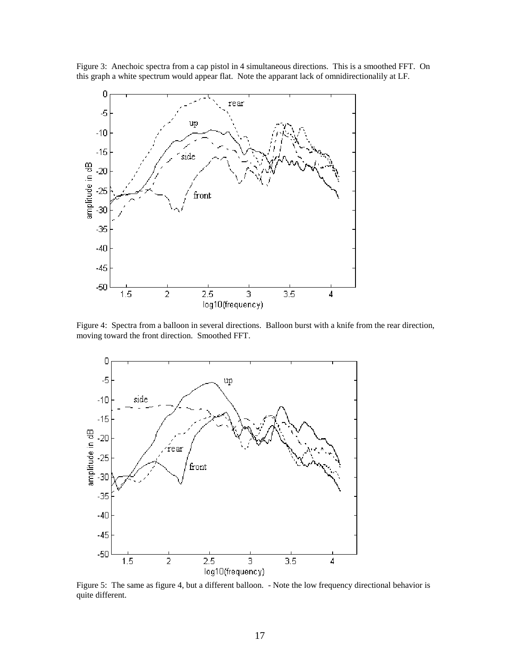Figure 3: Anechoic spectra from a cap pistol in 4 simultaneous directions. This is a smoothed FFT. On this graph a white spectrum would appear flat. Note the apparant lack of omnidirectionalily at LF.



Figure 4: Spectra from a balloon in several directions. Balloon burst with a knife from the rear direction, moving toward the front direction. Smoothed FFT.



Figure 5: The same as figure 4, but a different balloon. - Note the low frequency directional behavior is quite different.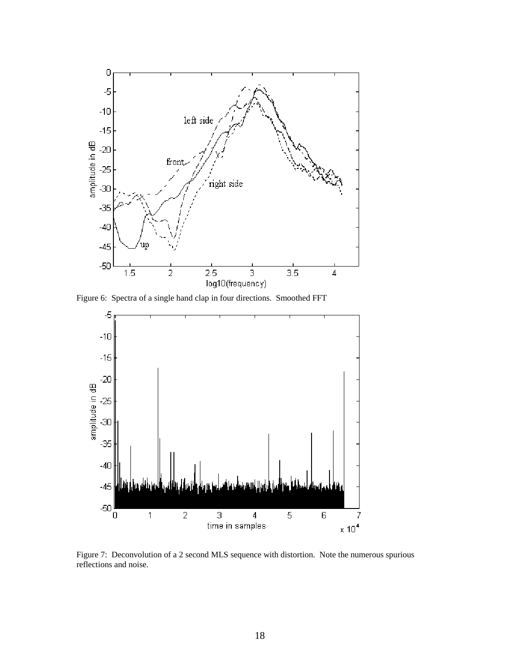

Figure 6: Spectra of a single hand clap in four directions. Smoothed FFT



Figure 7: Deconvolution of a 2 second MLS sequence with distortion. Note the numerous spurious reflections and noise.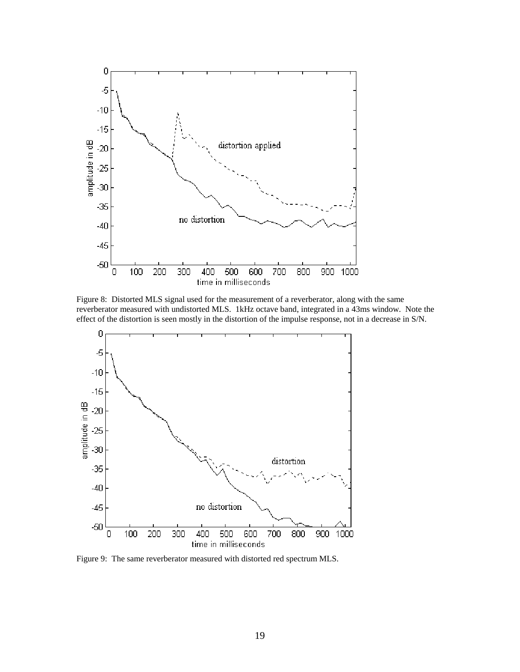

Figure 8: Distorted MLS signal used for the measurement of a reverberator, along with the same reverberator measured with undistorted MLS. 1kHz octave band, integrated in a 43ms window. Note the effect of the distortion is seen mostly in the distortion of the impulse response, not in a decrease in S/N.



Figure 9: The same reverberator measured with distorted red spectrum MLS.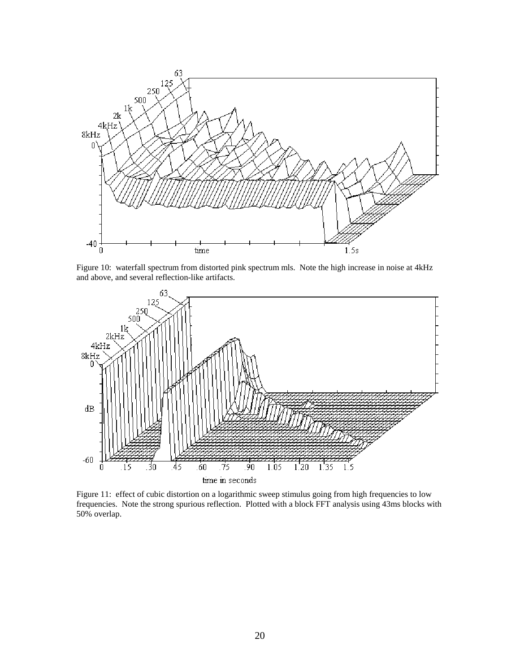

Figure 10: waterfall spectrum from distorted pink spectrum mls. Note the high increase in noise at 4kHz and above, and several reflection-like artifacts.



Figure 11: effect of cubic distortion on a logarithmic sweep stimulus going from high frequencies to low frequencies. Note the strong spurious reflection. Plotted with a block FFT analysis using 43ms blocks with 50% overlap.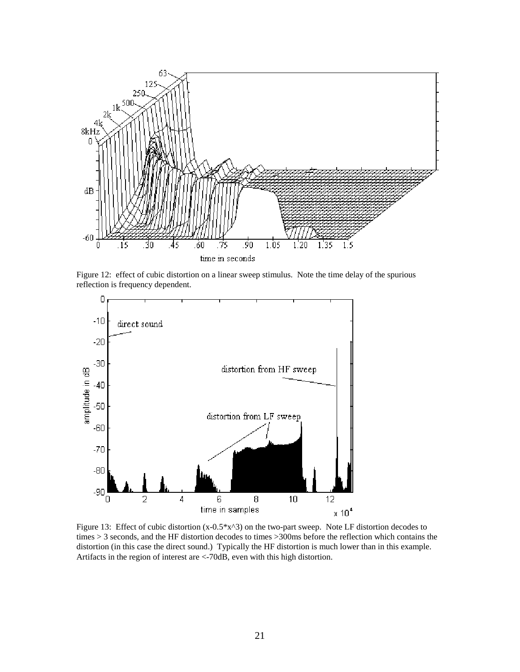

Figure 12: effect of cubic distortion on a linear sweep stimulus. Note the time delay of the spurious reflection is frequency dependent.



Figure 13: Effect of cubic distortion (x-0.5\*x^3) on the two-part sweep. Note LF distortion decodes to times > 3 seconds, and the HF distortion decodes to times >300ms before the reflection which contains the distortion (in this case the direct sound.) Typically the HF distortion is much lower than in this example. Artifacts in the region of interest are <-70dB, even with this high distortion.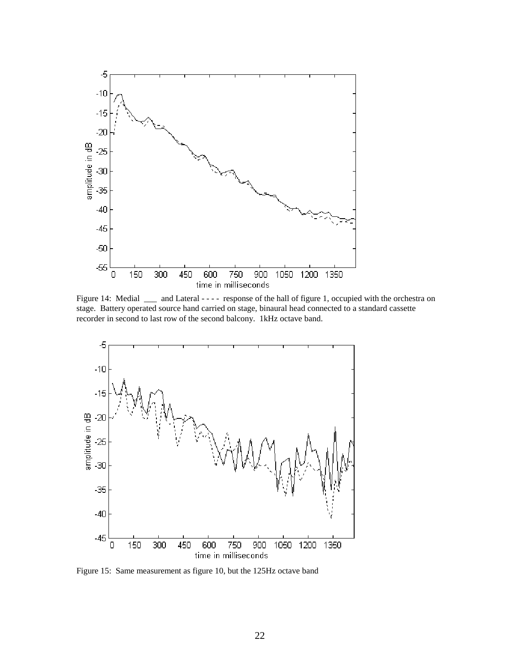

Figure 14: Medial \_\_\_ and Lateral - - - - response of the hall of figure 1, occupied with the orchestra on stage. Battery operated source hand carried on stage, binaural head connected to a standard cassette recorder in second to last row of the second balcony. 1kHz octave band.



Figure 15: Same measurement as figure 10, but the 125Hz octave band